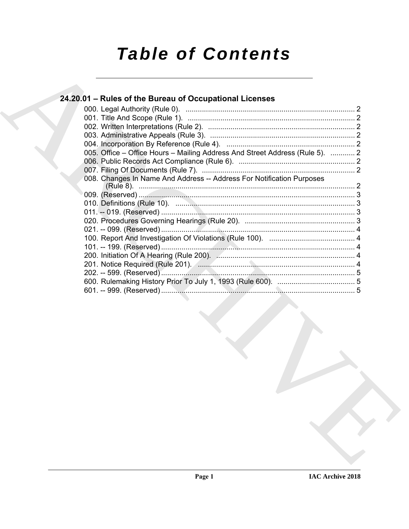# **Table of Contents**

# 24.20.01 - Rules of the Bureau of Occupational Licenses

|  | 005. Office – Office Hours – Mailing Address And Street Address (Rule 5).  2 |  |
|--|------------------------------------------------------------------------------|--|
|  |                                                                              |  |
|  |                                                                              |  |
|  | 008. Changes In Name And Address -- Address For Notification Purposes        |  |
|  |                                                                              |  |
|  |                                                                              |  |
|  |                                                                              |  |
|  |                                                                              |  |
|  |                                                                              |  |
|  |                                                                              |  |
|  |                                                                              |  |
|  |                                                                              |  |
|  |                                                                              |  |
|  |                                                                              |  |
|  |                                                                              |  |
|  |                                                                              |  |
|  |                                                                              |  |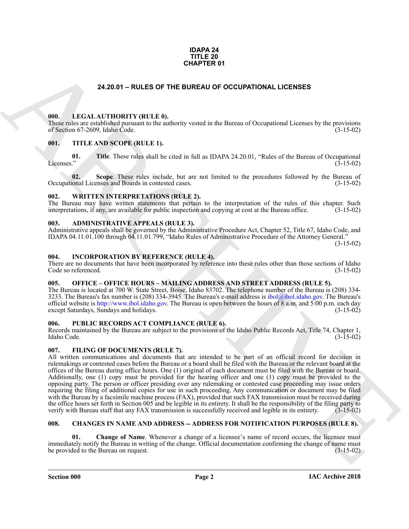### **IDAPA 24 TITLE 20 CHAPTER 01**

### **24.20.01 – RULES OF THE BUREAU OF OCCUPATIONAL LICENSES**

### <span id="page-1-15"></span><span id="page-1-1"></span><span id="page-1-0"></span>**000. LEGAL AUTHORITY (RULE 0).**

These rules are established pursuant to the authority vested in the Bureau of Occupational Licenses by the provisions of Section 67-2609, Idaho Code. (3-15-02)

### <span id="page-1-18"></span><span id="page-1-2"></span>**001. TITLE AND SCOPE (RULE 1).**

**01.** Title. These rules shall be cited in full as IDAPA 24.20.01, "Rules of the Bureau of Occupational Licenses." (3-15-02)  $\mu$  (3-15-02)  $(3-15-02)$ 

**02.** Scope. These rules include, but are not limited to the procedures followed by the Bureau of ional Licenses and Boards in contested cases. (3-15-02) Occupational Licenses and Boards in contested cases.

### <span id="page-1-19"></span><span id="page-1-3"></span>**002. WRITTEN INTERPRETATIONS (RULE 2).**

The Bureau may have written statements that pertain to the interpretation of the rules of this chapter. Such interpretations, if any, are available for public inspection and copying at cost at the Bureau office. (3-15-02)

### <span id="page-1-10"></span><span id="page-1-4"></span>**003. ADMINISTRATIVE APPEALS (RULE 3).**

Administrative appeals shall be governed by the Administrative Procedure Act, Chapter 52, Title 67, Idaho Code, and IDAPA 04.11.01.100 through 04.11.01.799, "Idaho Rules of Administrative Procedure of the Attorney General."

(3-15-02)

### <span id="page-1-14"></span><span id="page-1-5"></span>**004. INCORPORATION BY REFERENCE (RULE 4).**

There are no documents that have been incorporated by reference into these rules other than those sections of Idaho Code so referenced. (3-15-02)

## <span id="page-1-16"></span><span id="page-1-6"></span>**005. OFFICE – OFFICE HOURS – MAILING ADDRESS AND STREET ADDRESS (RULE 5).**

The Bureau is located at 700 W. State Street, Boise, Idaho 83702. The telephone number of the Bureau is (208) 334- 3233. The Bureau's fax number is (208) 334-3945. The Bureau's e-mail address is ibol@ibol.idaho.gov. The Bureau's official website is http://www.ibol.idaho.gov. The Bureau is open between the hours of 8 a.m. and 5:00 p.m. each day except Saturdays, Sundays and holidays. (3-15-02)

### <span id="page-1-17"></span><span id="page-1-7"></span>**006. PUBLIC RECORDS ACT COMPLIANCE (RULE 6).**

Records maintained by the Bureau are subject to the provisions of the Idaho Public Records Act, Title 74, Chapter 1, Idaho Code. (3-15-02)

### <span id="page-1-13"></span><span id="page-1-8"></span>**007. FILING OF DOCUMENTS (RULE 7).**

**24.20.01 - RULES OF THE BUREAU OF OCCUPATIONAL LICENSES**<br> **CHARC[HI](mailto:ibol@ibol.idaho.gov)VE CONTROLLY (RULES)**<br> **CHARCHIVE CONTROLLY (RULES)**<br> **CHARCHIVE CONTROLLY (RULES)**<br> **CHARCHIVE CONTROLLY (RULES)**<br> **CHARCHIVE CONTROLLY (RULES)**<br> **CHARCH** All written communications and documents that are intended to be part of an official record for decision in rulemakings or contested cases before the Bureau or a board shall be filed with the Bureau or the relevant board at the offices of the Bureau during office hours. One (1) original of each document must be filed with the Bureau or board. Additionally, one (1) copy must be provided for the hearing officer and one (1) copy must be provided to the opposing party. The person or officer presiding over any rulemaking or contested case proceeding may issue orders requiring the filing of additional copies for use in such proceeding. Any communication or document may be filed with the Bureau by a facsimile machine process (FAX), provided that such FAX transmission must be received during the office hours set forth in Section 005 and be legible in its entirety. It shall be the responsibility of the filing party to verify with Bureau staff that any FAX transmission is successfully received and legible in its entirety. (3-15-02)

### <span id="page-1-11"></span><span id="page-1-9"></span>**008. CHANGES IN NAME AND ADDRESS -- ADDRESS FOR NOTIFICATION PURPOSES (RULE 8).**

<span id="page-1-12"></span>**Change of Name.** Whenever a change of a licensee's name of record occurs, the licensee must immediately notify the Bureau in writing of the change. Official documentation confirming the change of name must be provided to the Bureau on request. (3-15-02)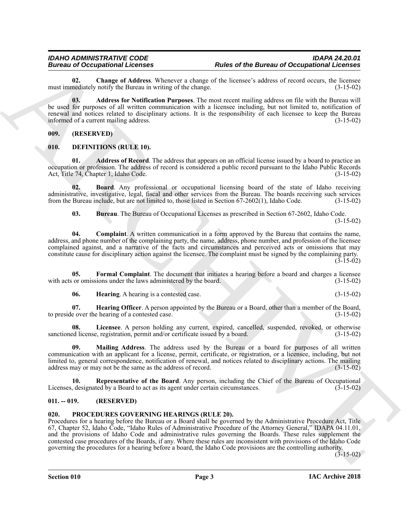<span id="page-2-5"></span>**02.** Change of Address. Whenever a change of the licensee's address of record occurs, the licensee mediately notify the Bureau in writing of the change. (3-15-02) must immediately notify the Bureau in writing of the change.

<span id="page-2-4"></span>**03. Address for Notification Purposes**. The most recent mailing address on file with the Bureau will be used for purposes of all written communication with a licensee including, but not limited to, notification of renewal and notices related to disciplinary actions. It is the responsibility of each licensee to keep the Bureau<br>informed of a current mailing address. informed of a current mailing address.

<span id="page-2-0"></span>**009. (RESERVED)**

### <span id="page-2-6"></span><span id="page-2-1"></span>**010. DEFINITIONS (RULE 10).**

<span id="page-2-7"></span>**01. Address of Record**. The address that appears on an official license issued by a board to practice an occupation or profession. The address of record is considered a public record pursuant to the Idaho Public Records Act, Title 74, Chapter 1, Idaho Code. (3-15-02)

**02. Board**. Any professional or occupational licensing board of the state of Idaho receiving administrative, investigative, legal, fiscal and other services from the Bureau. The boards receiving such services from the Bureau include, but are not limited to, those listed in Section 67-2602(1), Idaho Code. (3-15-02)

<span id="page-2-10"></span><span id="page-2-9"></span><span id="page-2-8"></span>**03. Bureau**. The Bureau of Occupational Licenses as prescribed in Section 67-2602, Idaho Code. (3-15-02)

**04. Complaint**. A written communication in a form approved by the Bureau that contains the name, address, and phone number of the complaining party, the name, address, phone number, and profession of the licensee complained against, and a narrative of the facts and circumstances and perceived acts or omissions that may constitute cause for disciplinary action against the licensee. The complaint must be signed by the complaining party.  $(3-15-02)$ 

**05. Formal Complaint**. The document that initiates a hearing before a board and charges a licensee with acts or omissions under the laws administered by the board. (3-15-02)

<span id="page-2-14"></span><span id="page-2-13"></span><span id="page-2-12"></span><span id="page-2-11"></span>**06. Hearing**. A hearing is a contested case. (3-15-02)

**07. Hearing Officer**. A person appointed by the Bureau or a Board, other than a member of the Board, to preside over the hearing of a contested case. (3-15-02)

**08. Licensee**. A person holding any current, expired, cancelled, suspended, revoked, or otherwise sanctioned license, registration, permit and/or certificate issued by a board. (3-15-02)

<span id="page-2-15"></span>**09. Mailing Address**. The address used by the Bureau or a board for purposes of all written communication with an applicant for a license, permit, certificate, or registration, or a licensee, including, but not limited to, general correspondence, notification of renewal, and notices related to disciplinary actions. The mailing address may or may not be the same as the address of record. (3-15-02) address may or may not be the same as the address of record.

<span id="page-2-16"></span>**10. Representative of the Board**. Any person, including the Chief of the Bureau of Occupational Licenses, designated by a Board to act as its agent under certain circumstances. (3-15-02)

### <span id="page-2-2"></span>**011. -- 019. (RESERVED)**

### <span id="page-2-17"></span><span id="page-2-3"></span>**020. PROCEDURES GOVERNING HEARINGS (RULE 20).**

Bureau in Concernsion Licenses<br>
and Discussion Concernsion (Licenses of the Bureau of Occupational Concernses<br>
mail image of Address Part Military Whenever a change of the Reactive Military and The Military Concernses of Procedures for a hearing before the Bureau or a Board shall be governed by the Administrative Procedure Act, Title 67, Chapter 52, Idaho Code, "Idaho Rules of Administrative Procedure of the Attorney General," IDAPA 04.11.01, and the provisions of Idaho Code and administrative rules governing the Boards. These rules supplement the contested case procedures of the Boards, if any. Where these rules are inconsistent with provisions of the Idaho Code governing the procedures for a hearing before a board, the Idaho Code provisions are the controlling authority.

 $(3-15-02)$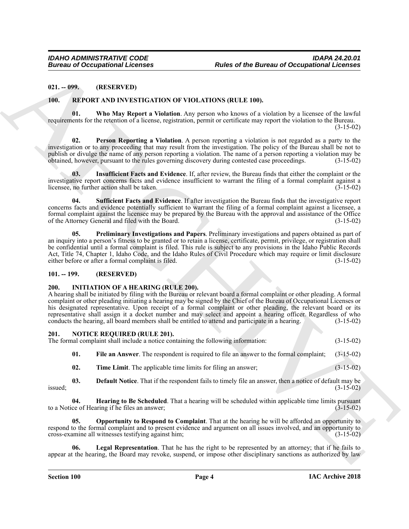### <span id="page-3-0"></span>**021. -- 099. (RESERVED)**

### <span id="page-3-18"></span><span id="page-3-13"></span><span id="page-3-1"></span>**100. REPORT AND INVESTIGATION OF VIOLATIONS (RULE 100).**

**01. Who May Report a Violation**. Any person who knows of a violation by a licensee of the lawful requirements for the retention of a license, registration, permit or certificate may report the violation to the Bureau.  $(3-15-02)$ 

<span id="page-3-15"></span>**Person Reporting a Violation.** A person reporting a violation is not regarded as a party to the investigation or to any proceeding that may result from the investigation. The policy of the Bureau shall be not to publish or divulge the name of any person reporting a violation. The name of a person reporting a violation may be obtained, however, pursuant to the rules governing discovery during contested case proceedings. (3-15-02) obtained, however, pursuant to the rules governing discovery during contested case proceedings.

<span id="page-3-14"></span>**03. Insufficient Facts and Evidence**. If, after review, the Bureau finds that either the complaint or the investigative report concerns facts and evidence insufficient to warrant the filing of a formal complaint against a licensee, no further action shall be taken. licensee, no further action shall be taken.

<span id="page-3-17"></span><span id="page-3-16"></span>**04. Sufficient Facts and Evidence**. If after investigation the Bureau finds that the investigative report concerns facts and evidence potentially sufficient to warrant the filing of a formal complaint against a licensee, a formal complaint against the licensee may be prepared by the Bureau with the approval and assistance of the Office of the Attorney General and filed with the Board. (3-15-02)

Bureau of Occupations Internet<br>
21. 1995<br>
21. 1995<br>
21. 1995<br>
22. IEMELIN (DE) INTERNETION OF VIOLATION IRELEVAN)<br>
11. 1995<br>
22. IEMELIN (DE) INTERNETION OF VIOLATION IRELEVAN)<br>
22. IEMELIN (DE) INTERNETION OF VIOLATION I **05. Preliminary Investigations and Papers**. Preliminary investigations and papers obtained as part of an inquiry into a person's fitness to be granted or to retain a license, certificate, permit, privilege, or registration shall be confidential until a formal complaint is filed. This rule is subject to any provisions in the Idaho Public Records Act, Title 74, Chapter 1, Idaho Code, and the Idaho Rules of Civil Procedure which may require or limit disclosure either before or after a formal complaint is filed. (3-15-02) either before or after a formal complaint is filed.

### <span id="page-3-5"></span><span id="page-3-2"></span>**101. -- 199. (RESERVED)**

### <span id="page-3-3"></span>**200. INITIATION OF A HEARING (RULE 200).**

A hearing shall be initiated by filing with the Bureau or relevant board a formal complaint or other pleading. A formal complaint or other pleading initiating a hearing may be signed by the Chief of the Bureau of Occupational Licenses or his designated representative. Upon receipt of a formal complaint or other pleading, the relevant board or its representative shall assign it a docket number and may select and appoint a hearing officer. Regardless of who conducts the hearing all board members shall be entitled to attend and participate in a hearing. (3-15-02) conducts the hearing, all board members shall be entitled to attend and participate in a hearing.

# <span id="page-3-6"></span><span id="page-3-4"></span>**201. NOTICE REQUIRED (RULE 201).** The formal complaint shall include a notice containing the following information: (3-15-02)

<span id="page-3-8"></span>**01. File an Answer**. The respondent is required to file an answer to the formal complaint; (3-15-02)

<span id="page-3-12"></span><span id="page-3-9"></span><span id="page-3-7"></span>**02. Time Limit**. The applicable time limits for filing an answer; (3-15-02)

**03. Default Notice**. That if the respondent fails to timely file an answer, then a notice of default may be  $i$ ssued;  $(3-15-02)$ 

**04. Hearing to Be Scheduled**. That a hearing will be scheduled within applicable time limits pursuant ce of Hearing if he files an answer; to a Notice of Hearing if he files an answer;

<span id="page-3-11"></span>**05. Opportunity to Respond to Complaint**. That at the hearing he will be afforded an opportunity to respond to the formal complaint and to present evidence and argument on all issues involved, and an opportunity to cross-examine all witnesses testifying against him; (3-15-02)

<span id="page-3-10"></span>Legal Representation. That he has the right to be represented by an attorney; that if he fails to appear at the hearing, the Board may revoke, suspend, or impose other disciplinary sanctions as authorized by law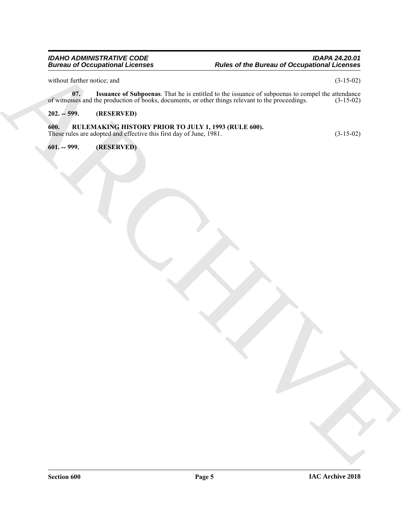### *IDAHO ADMINISTRATIVE CODE IDAPA 24.20.01 Bureau of Occupational Licenses Rules of the Bureau of Occupational Licenses*

without further notice; and  $(3-15-02)$ 

<span id="page-4-3"></span>**07.** Issuance of Subpoenas. That he is entitled to the issuance of subpoenas to compel the attendance sses and the production of books, documents, or other things relevant to the proceedings. (3-15-02) of witnesses and the production of books, documents, or other things relevant to the proceedings.

### <span id="page-4-1"></span><span id="page-4-0"></span>**202. -- 599. (RESERVED)**

# Europa into the context of the context of the context of the companion of Companion in the context of the context of the context of the context of the context of the context of the context of the context of the context of **600. RULEMAKING HISTORY PRIOR TO JULY 1, 1993 (RULE 600).** These rules are adopted and effective this first day of June, 1981. (3-15-02)

<span id="page-4-2"></span>**601. -- 999. (RESERVED)**